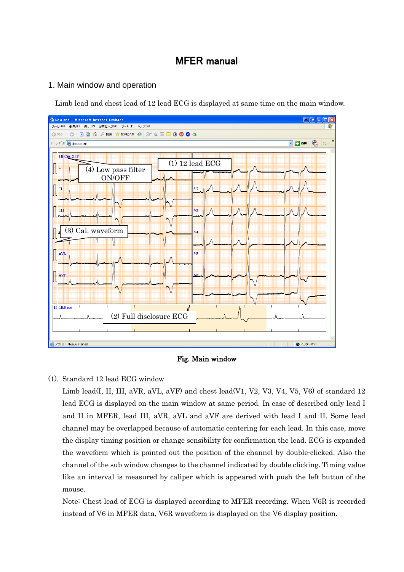# MFER manual

## 1. Main window and operation

Limb lead and chest lead of 12 lead ECG is displayed at same time on the main window.



Fig. Main window

## (1). Standard 12 lead ECG window

Limb lead(I, II, III, aVR, aVL, aVF) and chest lead(V1, V2, V3, V4, V5, V6) of standard 12 lead ECG is displayed on the main window at same period. In case of described only lead I and II in MFER, lead III, aVR, aVL and aVF are derived with lead I and II. Some lead channel may be overlapped because of automatic centering for each lead. In this case, move the display timing position or change sensibility for confirmation the lead. ECG is expanded the waveform which is pointed out the position of the channel by double-clicked. Also the channel of the sub window changes to the channel indicated by double clicking. Timing value like an interval is measured by caliper which is appeared with push the left button of the mouse.

Note: Chest lead of ECG is displayed according to MFER recording. When V6R is recorded instead of V6 in MFER data, V6R waveform is displayed on the V6 display position.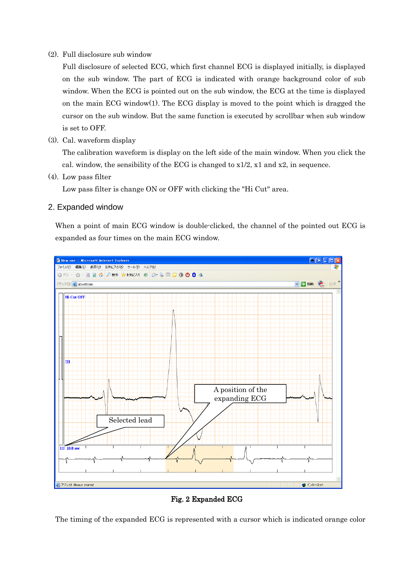(2). Full disclosure sub window

Full disclosure of selected ECG, which first channel ECG is displayed initially, is displayed on the sub window. The part of ECG is indicated with orange background color of sub window. When the ECG is pointed out on the sub window, the ECG at the time is displayed on the main ECG window(1). The ECG display is moved to the point which is dragged the cursor on the sub window. But the same function is executed by scrollbar when sub window is set to OFF.

(3). Cal. waveform display

The calibration waveform is display on the left side of the main window. When you click the cal. window, the sensibility of the ECG is changed to  $x1/2$ ,  $x1$  and  $x2$ , in sequence.

(4). Low pass filter

Low pass filter is change ON or OFF with clicking the "Hi Cut" area.

### 2. Expanded window

When a point of main ECG window is double-clicked, the channel of the pointed out ECG is expanded as four times on the main ECG window.



Fig. 2 Expanded ECG

The timing of the expanded ECG is represented with a cursor which is indicated orange color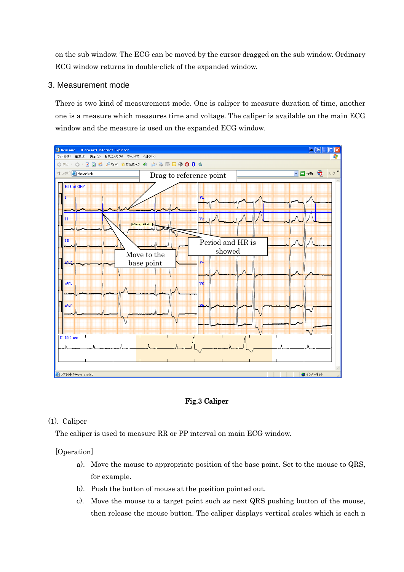on the sub window. The ECG can be moved by the cursor dragged on the sub window. Ordinary ECG window returns in double-click of the expanded window.

## 3. Measurement mode

There is two kind of measurement mode. One is caliper to measure duration of time, another one is a measure which measures time and voltage. The caliper is available on the main ECG window and the measure is used on the expanded ECG window.





### (1). Caliper

The caliper is used to measure RR or PP interval on main ECG window.

### [Operation]

- a). Move the mouse to appropriate position of the base point. Set to the mouse to QRS, for example.
- b). Push the button of mouse at the position pointed out.
- c). Move the mouse to a target point such as next QRS pushing button of the mouse, then release the mouse button. The caliper displays vertical scales which is each n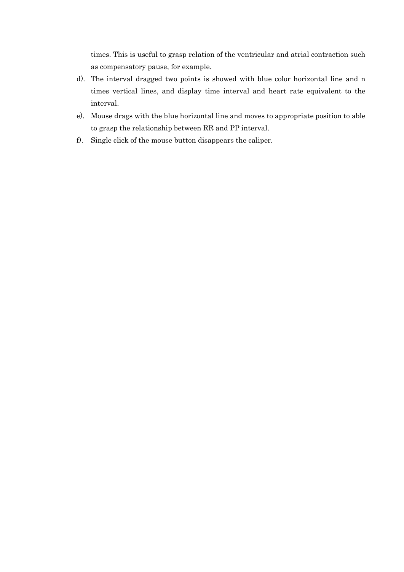times. This is useful to grasp relation of the ventricular and atrial contraction such as compensatory pause, for example.

- d). The interval dragged two points is showed with blue color horizontal line and n times vertical lines, and display time interval and heart rate equivalent to the interval.
- e). Mouse drags with the blue horizontal line and moves to appropriate position to able to grasp the relationship between RR and PP interval.
- f). Single click of the mouse button disappears the caliper.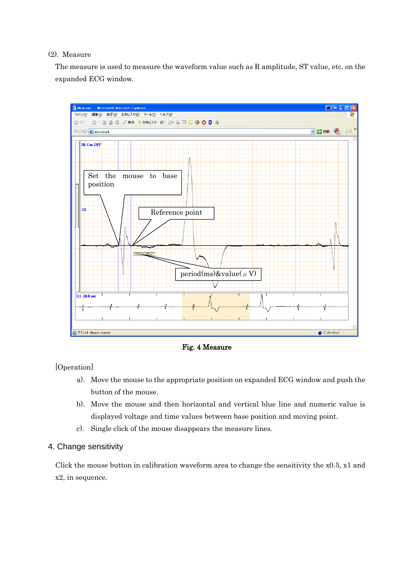#### (2). Measure

The measure is used to measure the waveform value such as R amplitude, ST value, etc. on the expanded ECG window.



Fig. 4 Measure

[Operation]

- a). Move the mouse to the appropriate position on expanded ECG window and push the button of the mouse.
- b). Move the mouse and then horizontal and vertical blue line and numeric value is displayed voltage and time values between base position and moving point.
- c). Single click of the mouse disappears the measure lines.

## 4. Change sensitivity

Click the mouse button in calibration waveform area to change the sensitivity the x0.5, x1 and x2, in sequence.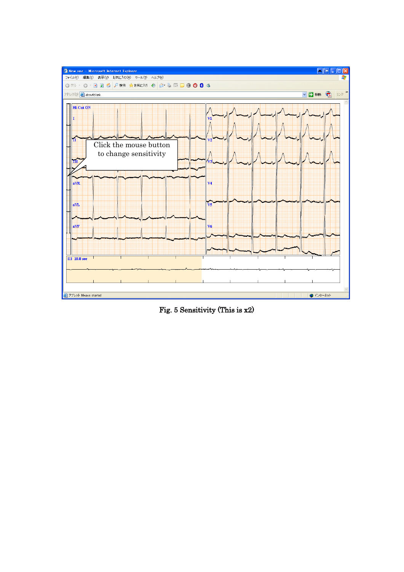

Fig. 5 Sensitivity (This is x2)